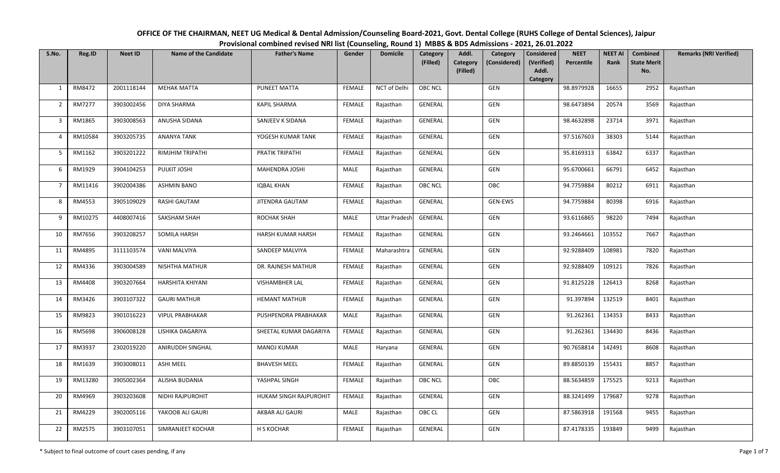| OFFICE OF THE CHAIRMAN, NEET UG Medical & Dental Admission/Counseling Board-2021, Govt. Dental College (RUHS College of Dental Sciences), Jaipur |  |
|--------------------------------------------------------------------------------------------------------------------------------------------------|--|
| Provisional combined revised NRI list (Counseling, Round 1) MBBS & BDS Admissions - 2021, 26.01.2022                                             |  |

| S.No.          | Reg.ID  | <b>Neet ID</b> | <b>Name of the Candidate</b> | <b>Father's Name</b>   | Gender        | <b>Domicile</b>      | Category       | Addl.                | Category     | Considered          | <b>NEET</b> | <b>NEET AI</b> | Combined                  | <b>Remarks (NRI Verified)</b> |
|----------------|---------|----------------|------------------------------|------------------------|---------------|----------------------|----------------|----------------------|--------------|---------------------|-------------|----------------|---------------------------|-------------------------------|
|                |         |                |                              |                        |               |                      | (Filled)       | Category<br>(Filled) | (Considered) | (Verified)<br>Addl. | Percentile  | Rank           | <b>State Merit</b><br>No. |                               |
|                |         |                |                              |                        |               |                      |                |                      |              | Category            |             |                |                           |                               |
| 1              | RM8472  | 2001118144     | <b>MEHAK MATTA</b>           | PUNEET MATTA           | <b>FEMALE</b> | NCT of Delhi         | <b>OBC NCL</b> |                      | GEN          |                     | 98.8979928  | 16655          | 2952                      | Rajasthan                     |
| 2              | RM7277  | 3903002456     | DIYA SHARMA                  | KAPIL SHARMA           | FEMALE        | Rajasthan            | GENERAL        |                      | GEN          |                     | 98.6473894  | 20574          | 3569                      | Rajasthan                     |
| $\overline{3}$ | RM1865  | 3903008563     | ANUSHA SIDANA                | SANJEEV K SIDANA       | <b>FEMALE</b> | Rajasthan            | GENERAL        |                      | GEN          |                     | 98.4632898  | 23714          | 3971                      | Rajasthan                     |
| $\overline{4}$ | RM10584 | 3903205735     | ANANYA TANK                  | YOGESH KUMAR TANK      | FEMALE        | Rajasthan            | GENERAL        |                      | GEN          |                     | 97.5167603  | 38303          | 5144                      | Rajasthan                     |
| 5              | RM1162  | 3903201222     | <b>RIMJHIM TRIPATHI</b>      | PRATIK TRIPATHI        | <b>FEMALE</b> | Rajasthan            | GENERAL        |                      | GEN          |                     | 95.8169313  | 63842          | 6337                      | Rajasthan                     |
| 6              | RM1929  | 3904104253     | PULKIT JOSHI                 | MAHENDRA JOSHI         | MALE          | Rajasthan            | GENERAL        |                      | GEN          |                     | 95.6700661  | 66791          | 6452                      | Rajasthan                     |
| $\overline{7}$ | RM11416 | 3902004386     | <b>ASHMIN BANO</b>           | IQBAL KHAN             | FEMALE        | Rajasthan            | OBC NCL        |                      | OBC          |                     | 94.7759884  | 80212          | 6911                      | Rajasthan                     |
| 8              | RM4553  | 3905109029     | RASHI GAUTAM                 | <b>JITENDRA GAUTAM</b> | <b>FEMALE</b> | Rajasthan            | GENERAL        |                      | GEN-EWS      |                     | 94.7759884  | 80398          | 6916                      | Rajasthan                     |
| 9              | RM10275 | 4408007416     | SAKSHAM SHAH                 | ROCHAK SHAH            | MALE          | <b>Uttar Pradesh</b> | GENERAL        |                      | GEN          |                     | 93.6116865  | 98220          | 7494                      | Rajasthan                     |
| 10             | RM7656  | 3903208257     | SOMILA HARSH                 | HARSH KUMAR HARSH      | <b>FEMALE</b> | Rajasthan            | GENERAL        |                      | GEN          |                     | 93.2464661  | 103552         | 7667                      | Rajasthan                     |
| 11             | RM4895  | 3111103574     | VANI MALVIYA                 | SANDEEP MALVIYA        | <b>FEMALE</b> | Maharashtra          | <b>GENERAL</b> |                      | GEN          |                     | 92.9288409  | 108981         | 7820                      | Rajasthan                     |
| 12             | RM4336  | 3903004589     | NISHTHA MATHUR               | DR. RAJNESH MATHUR     | FEMALE        | Rajasthan            | GENERAL        |                      | GEN          |                     | 92.9288409  | 109121         | 7826                      | Rajasthan                     |
| 13             | RM4408  | 3903207664     | <b>HARSHITA KHIYANI</b>      | <b>VISHAMBHER LAL</b>  | <b>FEMALE</b> | Rajasthan            | GENERAL        |                      | GEN          |                     | 91.8125228  | 126413         | 8268                      | Rajasthan                     |
| 14             | RM3426  | 3903107322     | <b>GAURI MATHUR</b>          | <b>HEMANT MATHUR</b>   | FEMALE        | Rajasthan            | GENERAL        |                      | GEN          |                     | 91.397894   | 132519         | 8401                      | Rajasthan                     |
| 15             | RM9823  | 3901016223     | <b>VIPUL PRABHAKAR</b>       | PUSHPENDRA PRABHAKAR   | MALE          | Rajasthan            | GENERAL        |                      | <b>GEN</b>   |                     | 91.262361   | 134353         | 8433                      | Rajasthan                     |
| 16             | RM5698  | 3906008128     | LISHIKA DAGARIYA             | SHEETAL KUMAR DAGARIYA | FEMALE        | Rajasthan            | GENERAL        |                      | GEN          |                     | 91.262361   | 134430         | 8436                      | Rajasthan                     |
| 17             | RM3937  | 2302019220     | ANIRUDDH SINGHAL             | <b>MANOJ KUMAR</b>     | MALE          | Haryana              | GENERAL        |                      | GEN          |                     | 90.7658814  | 142491         | 8608                      | Rajasthan                     |
| 18             | RM1639  | 3903008011     | ASHI MEEL                    | <b>BHAVESH MEEL</b>    | <b>FEMALE</b> | Rajasthan            | GENERAL        |                      | GEN          |                     | 89.8850139  | 155431         | 8857                      | Rajasthan                     |
| 19             | RM13280 | 3905002364     | ALISHA BUDANIA               | YASHPAL SINGH          | <b>FEMALE</b> | Rajasthan            | <b>OBC NCL</b> |                      | OBC          |                     | 88.5634859  | 175525         | 9213                      | Rajasthan                     |
| 20             | RM4969  | 3903203608     | NIDHI RAJPUROHIT             | HUKAM SINGH RAJPUROHIT | FEMALE        | Rajasthan            | GENERAL        |                      | GEN          |                     | 88.3241499  | 179687         | 9278                      | Rajasthan                     |
| 21             | RM4229  | 3902005116     | YAKOOB ALI GAURI             | AKBAR ALI GAURI        | MALE          | Rajasthan            | OBC CL         |                      | GEN          |                     | 87.5863918  | 191568         | 9455                      | Rajasthan                     |
| 22             | RM2575  | 3903107051     | SIMRANJEET KOCHAR            | H S KOCHAR             | <b>FEMALE</b> | Rajasthan            | GENERAL        |                      | GEN          |                     | 87.4178335  | 193849         | 9499                      | Rajasthan                     |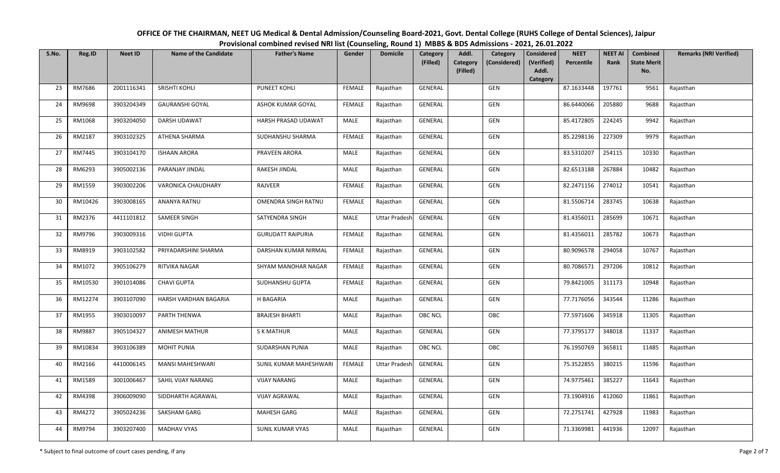| OFFICE OF THE CHAIRMAN, NEET UG Medical & Dental Admission/Counseling Board-2021, Govt. Dental College (RUHS College of Dental Sciences), Jaipur |  |
|--------------------------------------------------------------------------------------------------------------------------------------------------|--|
| Provisional combined revised NRI list (Counseling, Round 1) MBBS & BDS Admissions - 2021, 26.01.2022                                             |  |

| S.No. | Reg.ID  | <b>Neet ID</b> | <b>Name of the Candidate</b> | <b>Father's Name</b>       | Gender        | <b>Domicile</b>      | Category       | Addl.<br>Category                    | <b>Considered</b>   | <b>NEET</b> | <b>NEET AI</b> | <b>Combined</b>           | <b>Remarks (NRI Verified)</b> |
|-------|---------|----------------|------------------------------|----------------------------|---------------|----------------------|----------------|--------------------------------------|---------------------|-------------|----------------|---------------------------|-------------------------------|
|       |         |                |                              |                            |               |                      | (Filled)       | Category<br>(Considered)<br>(Filled) | (Verified)<br>Addl. | Percentile  | Rank           | <b>State Merit</b><br>No. |                               |
|       |         |                |                              |                            |               |                      |                |                                      | <b>Category</b>     |             |                |                           |                               |
| 23    | RM7686  | 2001116341     | SRISHTI KOHLI                | <b>PUNEET KOHLI</b>        | <b>FEMALE</b> | Rajasthan            | GENERAL        | GEN                                  |                     | 87.1633448  | 197761         | 9561                      | Rajasthan                     |
| 24    | RM9698  | 3903204349     | <b>GAURANSHI GOYAL</b>       | <b>ASHOK KUMAR GOYAL</b>   | <b>FEMALE</b> | Rajasthan            | GENERAL        | GEN                                  |                     | 86.6440066  | 205880         | 9688                      | Rajasthan                     |
| 25    | RM1068  | 3903204050     | DARSH UDAWAT                 | HARSH PRASAD UDAWAT        | <b>MALE</b>   | Rajasthan            | GENERAL        | GEN                                  |                     | 85.4172805  | 224245         | 9942                      | Rajasthan                     |
| 26    | RM2187  | 3903102325     | ATHENA SHARMA                | SUDHANSHU SHARMA           | <b>FEMALE</b> | Rajasthan            | GENERAL        | <b>GEN</b>                           |                     | 85.2298136  | 227309         | 9979                      | Rajasthan                     |
| 27    | RM7445  | 3903104170     | <b>ISHAAN ARORA</b>          | PRAVEEN ARORA              | MALE          | Rajasthan            | GENERAL        | GEN                                  |                     | 83.5310207  | 254115         | 10330                     | Rajasthan                     |
| 28    | RM6293  | 3905002136     | PARANJAY JINDAL              | RAKESH JINDAL              | <b>MALE</b>   | Rajasthan            | GENERAL        | GEN                                  |                     | 82.6513188  | 267884         | 10482                     | Rajasthan                     |
| 29    | RM1559  | 3903002206     | VARONICA CHAUDHARY           | RAJVEER                    | <b>FEMALE</b> | Rajasthan            | GENERAL        | GEN                                  |                     | 82.2471156  | 274012         | 10541                     | Rajasthan                     |
| 30    | RM10426 | 3903008165     | ANANYA RATNU                 | <b>OMENDRA SINGH RATNU</b> | <b>FEMALE</b> | Rajasthan            | GENERAL        | GEN                                  |                     | 81.5506714  | 283745         | 10638                     | Rajasthan                     |
| 31    | RM2376  | 4411101812     | SAMEER SINGH                 | SATYENDRA SINGH            | <b>MALE</b>   | <b>Uttar Pradesh</b> | GENERAL        | GEN                                  |                     | 81.4356011  | 285699         | 10671                     | Rajasthan                     |
| 32    | RM9796  | 3903009316     | <b>VIDHI GUPTA</b>           | <b>GURUDATT RAIPURIA</b>   | <b>FEMALE</b> | Rajasthan            | GENERAL        | GEN                                  |                     | 81.4356011  | 285782         | 10673                     | Rajasthan                     |
| 33    | RM8919  | 3903102582     | PRIYADARSHINI SHARMA         | DARSHAN KUMAR NIRMAL       | <b>FEMALE</b> | Rajasthan            | GENERAL        | GEN                                  |                     | 80.9096578  | 294058         | 10767                     | Rajasthan                     |
| 34    | RM1072  | 3905106279     | RITVIKA NAGAR                | SHYAM MANOHAR NAGAR        | <b>FEMALE</b> | Rajasthan            | GENERAL        | GEN                                  |                     | 80.7086571  | 297206         | 10812                     | Rajasthan                     |
| 35    | RM10530 | 3901014086     | <b>CHAVI GUPTA</b>           | SUDHANSHU GUPTA            | <b>FEMALE</b> | Rajasthan            | GENERAL        | GEN                                  |                     | 79.8421005  | 311173         | 10948                     | Rajasthan                     |
| 36    | RM12274 | 3903107090     | HARSH VARDHAN BAGARIA        | <b>H BAGARIA</b>           | MALE          | Rajasthan            | GENERAL        | GEN                                  |                     | 77.7176056  | 343544         | 11286                     | Rajasthan                     |
| 37    | RM1955  | 3903010097     | PARTH THENWA                 | <b>BRAJESH BHARTI</b>      | MALE          | Rajasthan            | <b>OBC NCL</b> | OBC                                  |                     | 77.5971606  | 345918         | 11305                     | Rajasthan                     |
| 38    | RM9887  | 3905104327     | ANIMESH MATHUR               | <b>S K MATHUR</b>          | MALE          | Rajasthan            | GENERAL        | GEN                                  |                     | 77.3795177  | 348018         | 11337                     | Rajasthan                     |
| 39    | RM10834 | 3903106389     | <b>MOHIT PUNIA</b>           | SUDARSHAN PUNIA            | MALE          | Rajasthan            | OBC NCL        | OBC                                  |                     | 76.1950769  | 365811         | 11485                     | Rajasthan                     |
| 40    | RM2166  | 4410006145     | MANSI MAHESHWARI             | SUNIL KUMAR MAHESHWARI     | FEMALE        | <b>Uttar Pradesh</b> | GENERAL        | GEN                                  |                     | 75.3522855  | 380215         | 11596                     | Rajasthan                     |
| 41    | RM1589  | 3001006467     | SAHIL VIJAY NARANG           | <b>VIJAY NARANG</b>        | <b>MALE</b>   | Rajasthan            | GENERAL        | GEN                                  |                     | 74.9775461  | 385227         | 11643                     | Rajasthan                     |
| 42    | RM4398  | 3906009090     | SIDDHARTH AGRAWAL            | <b>VIJAY AGRAWAL</b>       | MALE          | Rajasthan            | GENERAL        | GEN                                  |                     | 73.1904916  | 412060         | 11861                     | Rajasthan                     |
| 43    | RM4272  | 3905024236     | SAKSHAM GARG                 | MAHESH GARG                | <b>MALE</b>   | Rajasthan            | <b>GENERAL</b> | GEN                                  |                     | 72.2751741  | 427928         | 11983                     | Rajasthan                     |
| 44    | RM9794  | 3903207400     | <b>MADHAV VYAS</b>           | <b>SUNIL KUMAR VYAS</b>    | MALE          | Rajasthan            | GENERAL        | GEN                                  |                     | 71.3369981  | 441936         | 12097                     | Rajasthan                     |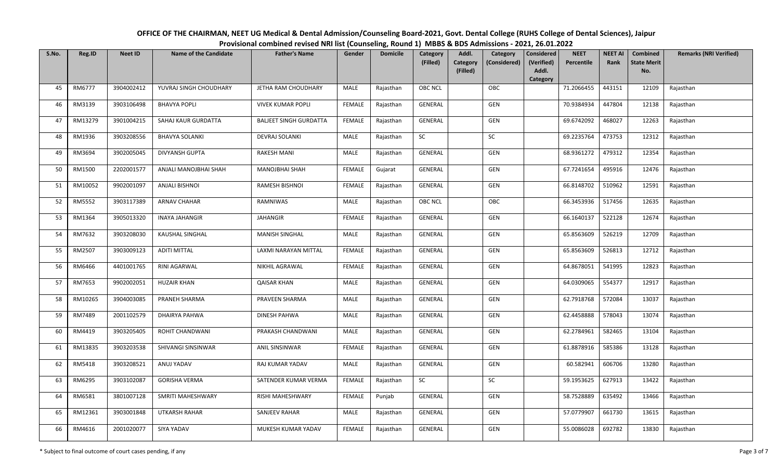| OFFICE OF THE CHAIRMAN, NEET UG Medical & Dental Admission/Counseling Board-2021, Govt. Dental College (RUHS College of Dental Sciences), Jaipur |  |
|--------------------------------------------------------------------------------------------------------------------------------------------------|--|
| Provisional combined revised NRI list (Counseling, Round 1) MBBS & BDS Admissions - 2021, 26.01.2022                                             |  |

| S.No. | Reg.ID  | <b>Neet ID</b> | <b>Name of the Candidate</b> | <b>Father's Name</b>          | Gender        | <b>Domicile</b> | Category       | Addl.    | Category     | <b>Considered</b> | <b>NEET</b> | <b>NEET AI</b> | Combined           | <b>Remarks (NRI Verified)</b> |
|-------|---------|----------------|------------------------------|-------------------------------|---------------|-----------------|----------------|----------|--------------|-------------------|-------------|----------------|--------------------|-------------------------------|
|       |         |                |                              |                               |               |                 | (Filled)       | Category | (Considered) | (Verified)        | Percentile  | Rank           | <b>State Merit</b> |                               |
|       |         |                |                              |                               |               |                 |                | (Filled) |              | Addl.<br>Category |             |                | No.                |                               |
| 45    | RM6777  | 3904002412     | YUVRAJ SINGH CHOUDHARY       | JETHA RAM CHOUDHARY           | MALE          | Rajasthan       | <b>OBC NCL</b> |          | OBC          |                   | 71.2066455  | 443151         | 12109              | Rajasthan                     |
| 46    | RM3139  | 3903106498     | <b>BHAVYA POPLI</b>          | <b>VIVEK KUMAR POPLI</b>      | <b>FEMALE</b> | Rajasthan       | <b>GENERAL</b> |          | GEN          |                   | 70.9384934  | 447804         | 12138              | Rajasthan                     |
| 47    | RM13279 | 3901004215     | SAHAJ KAUR GURDATTA          | <b>BALIEET SINGH GURDATTA</b> | FEMALE        | Rajasthan       | GENERAL        |          | GEN          |                   | 69.6742092  | 468027         | 12263              | Rajasthan                     |
| 48    | RM1936  | 3903208556     | <b>BHAVYA SOLANKI</b>        | DEVRAJ SOLANKI                | <b>MALE</b>   | Rajasthan       | $\sf SC$       |          | ${\sf SC}$   |                   | 69.2235764  | 473753         | 12312              | Rajasthan                     |
| 49    | RM3694  | 3902005045     | <b>DIVYANSH GUPTA</b>        | <b>RAKESH MANI</b>            | MALE          | Rajasthan       | GENERAL        |          | GEN          |                   | 68.9361272  | 479312         | 12354              | Rajasthan                     |
| 50    | RM1500  | 2202001577     | ANJALI MANOJBHAI SHAH        | MANOJBHAI SHAH                | <b>FEMALE</b> | Gujarat         | GENERAL        |          | GEN          |                   | 67.7241654  | 495916         | 12476              | Rajasthan                     |
| 51    | RM10052 | 9902001097     | <b>ANJALI BISHNOI</b>        | RAMESH BISHNOI                | <b>FEMALE</b> | Rajasthan       | <b>GENERAL</b> |          | GEN          |                   | 66.8148702  | 510962         | 12591              | Rajasthan                     |
| 52    | RM5552  | 3903117389     | <b>ARNAV CHAHAR</b>          | RAMNIWAS                      | <b>MALE</b>   | Rajasthan       | OBC NCL        |          | OBC          |                   | 66.3453936  | 517456         | 12635              | Rajasthan                     |
| 53    | RM1364  | 3905013320     | <b>INAYA JAHANGIR</b>        | JAHANGIR                      | <b>FEMALE</b> | Rajasthan       | GENERAL        |          | GEN          |                   | 66.1640137  | 522128         | 12674              | Rajasthan                     |
| 54    | RM7632  | 3903208030     | <b>KAUSHAL SINGHAL</b>       | <b>MANISH SINGHAL</b>         | MALE          | Rajasthan       | GENERAL        |          | GEN          |                   | 65.8563609  | 526219         | 12709              | Rajasthan                     |
| 55    | RM2507  | 3903009123     | <b>ADITI MITTAL</b>          | LAXMI NARAYAN MITTAL          | <b>FEMALE</b> | Rajasthan       | <b>GENERAL</b> |          | GEN          |                   | 65.8563609  | 526813         | 12712              | Rajasthan                     |
| 56    | RM6466  | 4401001765     | RINI AGARWAL                 | NIKHIL AGRAWAL                | <b>FEMALE</b> | Rajasthan       | <b>GENERAL</b> |          | GEN          |                   | 64.8678051  | 541995         | 12823              | Rajasthan                     |
| 57    | RM7653  | 9902002051     | <b>HUZAIR KHAN</b>           | <b>QAISAR KHAN</b>            | MALE          | Rajasthan       | <b>GENERAL</b> |          | GEN          |                   | 64.0309065  | 554377         | 12917              | Rajasthan                     |
| 58    | RM10265 | 3904003085     | PRANEH SHARMA                | PRAVEEN SHARMA                | MALE          | Rajasthan       | GENERAL        |          | GEN          |                   | 62.7918768  | 572084         | 13037              | Rajasthan                     |
| 59    | RM7489  | 2001102579     | DHAIRYA PAHWA                | <b>DINESH PAHWA</b>           | MALE          | Rajasthan       | <b>GENERAL</b> |          | GEN          |                   | 62.4458888  | 578043         | 13074              | Rajasthan                     |
| 60    | RM4419  | 3903205405     | ROHIT CHANDWANI              | PRAKASH CHANDWANI             | MALE          | Rajasthan       | <b>GENERAL</b> |          | GEN          |                   | 62.2784961  | 582465         | 13104              | Rajasthan                     |
| 61    | RM13835 | 3903203538     | SHIVANGI SINSINWAR           | ANIL SINSINWAR                | <b>FEMALE</b> | Rajasthan       | GENERAL        |          | GEN          |                   | 61.8878916  | 585386         | 13128              | Rajasthan                     |
| 62    | RM5418  | 3903208521     | ANUJ YADAV                   | RAJ KUMAR YADAV               | MALE          | Rajasthan       | <b>GENERAL</b> |          | GEN          |                   | 60.582941   | 606706         | 13280              | Rajasthan                     |
| 63    | RM6295  | 3903102087     | <b>GORISHA VERMA</b>         | SATENDER KUMAR VERMA          | <b>FEMALE</b> | Rajasthan       | <b>SC</b>      |          | SC           |                   | 59.1953625  | 627913         | 13422              | Rajasthan                     |
| 64    | RM6581  | 3801007128     | SMRITI MAHESHWARY            | RISHI MAHESHWARY              | <b>FEMALE</b> | Punjab          | GENERAL        |          | GEN          |                   | 58.7528889  | 635492         | 13466              | Rajasthan                     |
| 65    | RM12361 | 3903001848     | <b>UTKARSH RAHAR</b>         | <b>SANJEEV RAHAR</b>          | MALE          | Rajasthan       | <b>GENERAL</b> |          | GEN          |                   | 57.0779907  | 661730         | 13615              | Rajasthan                     |
| 66    | RM4616  | 2001020077     | SIYA YADAV                   | MUKESH KUMAR YADAV            | <b>FEMALE</b> | Rajasthan       | GENERAL        |          | GEN          |                   | 55.0086028  | 692782         | 13830              | Rajasthan                     |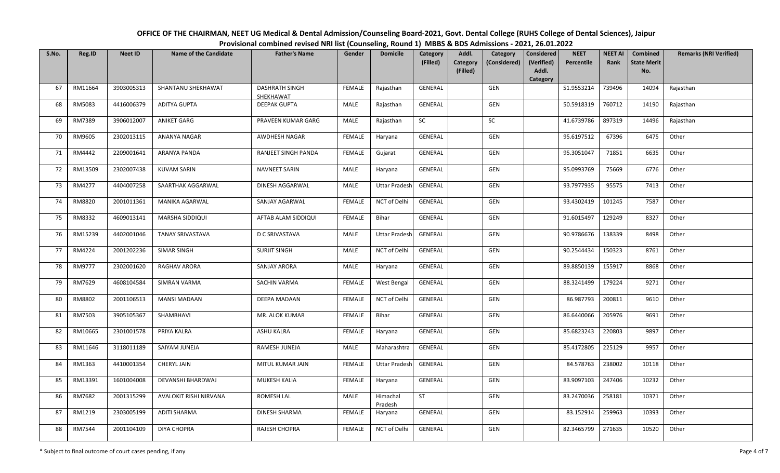| OFFICE OF THE CHAIRMAN, NEET UG Medical & Dental Admission/Counseling Board-2021, Govt. Dental College (RUHS College of Dental Sciences), Jaipur |  |
|--------------------------------------------------------------------------------------------------------------------------------------------------|--|
| Provisional combined revised NRI list (Counseling, Round 1) MBBS & BDS Admissions - 2021, 26.01.2022                                             |  |

| S.No. | Reg.ID  | <b>Neet ID</b> | <b>Name of the Candidate</b> | <b>Father's Name</b>               | Gender        | <b>Domicile</b>      | Category<br>(Filled) | Addl.<br>Category | Category<br>(Considered) | <b>Considered</b><br>(Verified) | <b>NEET</b><br>Percentile | <b>NEET AI</b><br>Rank | Combined<br><b>State Merit</b> | <b>Remarks (NRI Verified)</b> |
|-------|---------|----------------|------------------------------|------------------------------------|---------------|----------------------|----------------------|-------------------|--------------------------|---------------------------------|---------------------------|------------------------|--------------------------------|-------------------------------|
|       |         |                |                              |                                    |               |                      |                      | (Filled)          |                          | Addl.<br>Category               |                           |                        | No.                            |                               |
| 67    | RM11664 | 3903005313     | SHANTANU SHEKHAWAT           | <b>DASHRATH SINGH</b><br>SHEKHAWAT | <b>FEMALE</b> | Rajasthan            | <b>GENERAL</b>       |                   | GEN                      |                                 | 51.9553214                | 739496                 | 14094                          | Rajasthan                     |
| 68    | RM5083  | 4416006379     | <b>ADITYA GUPTA</b>          | <b>DEEPAK GUPTA</b>                | MALE          | Rajasthan            | <b>GENERAL</b>       |                   | GEN                      |                                 | 50.5918319                | 760712                 | 14190                          | Rajasthan                     |
| 69    | RM7389  | 3906012007     | <b>ANIKET GARG</b>           | PRAVEEN KUMAR GARG                 | MALE          | Rajasthan            | <b>SC</b>            |                   | SC                       |                                 | 41.6739786                | 897319                 | 14496                          | Rajasthan                     |
| 70    | RM9605  | 2302013115     | ANANYA NAGAR                 | AWDHESH NAGAR                      | <b>FEMALE</b> | Haryana              | <b>GENERAL</b>       |                   | GEN                      |                                 | 95.6197512                | 67396                  | 6475                           | Other                         |
| 71    | RM4442  | 2209001641     | <b>ARANYA PANDA</b>          | RANJEET SINGH PANDA                | <b>FEMALE</b> | Gujarat              | GENERAL              |                   | GEN                      |                                 | 95.3051047                | 71851                  | 6635                           | Other                         |
| 72    | RM13509 | 2302007438     | <b>KUVAM SARIN</b>           | <b>NAVNEET SARIN</b>               | MALE          | Haryana              | GENERAL              |                   | GEN                      |                                 | 95.0993769                | 75669                  | 6776                           | Other                         |
| 73    | RM4277  | 4404007258     | SAARTHAK AGGARWAL            | DINESH AGGARWAL                    | MALE          | <b>Uttar Pradesh</b> | GENERAL              |                   | GEN                      |                                 | 93.7977935                | 95575                  | 7413                           | Other                         |
| 74    | RM8820  | 2001011361     | <b>MANIKA AGARWAL</b>        | SANJAY AGARWAL                     | <b>FEMALE</b> | NCT of Delhi         | GENERAL              |                   | GEN                      |                                 | 93.4302419                | 101245                 | 7587                           | Other                         |
| 75    | RM8332  | 4609013141     | <b>MARSHA SIDDIQUI</b>       | AFTAB ALAM SIDDIQUI                | <b>FEMALE</b> | Bihar                | GENERAL              |                   | GEN                      |                                 | 91.6015497                | 129249                 | 8327                           | Other                         |
| 76    | RM15239 | 4402001046     | <b>TANAY SRIVASTAVA</b>      | D C SRIVASTAVA                     | MALE          | <b>Uttar Pradesh</b> | <b>GENERAL</b>       |                   | GEN                      |                                 | 90.9786676                | 138339                 | 8498                           | Other                         |
| 77    | RM4224  | 2001202236     | <b>SIMAR SINGH</b>           | <b>SURJIT SINGH</b>                | MALE          | NCT of Delhi         | <b>GENERAL</b>       |                   | GEN                      |                                 | 90.2544434                | 150323                 | 8761                           | Other                         |
| 78    | RM9777  | 2302001620     | RAGHAV ARORA                 | SANJAY ARORA                       | MALE          | Haryana              | GENERAL              |                   | GEN                      |                                 | 89.8850139                | 155917                 | 8868                           | Other                         |
| 79    | RM7629  | 4608104584     | <b>SIMRAN VARMA</b>          | <b>SACHIN VARMA</b>                | <b>FEMALE</b> | West Bengal          | GENERAL              |                   | GEN                      |                                 | 88.3241499                | 179224                 | 9271                           | Other                         |
| 80    | RM8802  | 2001106513     | <b>MANSI MADAAN</b>          | DEEPA MADAAN                       | <b>FEMALE</b> | NCT of Delhi         | <b>GENERAL</b>       |                   | GEN                      |                                 | 86.987793                 | 200811                 | 9610                           | Other                         |
| 81    | RM7503  | 3905105367     | SHAMBHAVI                    | MR. ALOK KUMAR                     | <b>FEMALE</b> | <b>Bihar</b>         | GENERAL              |                   | GEN                      |                                 | 86.6440066                | 205976                 | 9691                           | Other                         |
| 82    | RM10665 | 2301001578     | PRIYA KALRA                  | <b>ASHU KALRA</b>                  | <b>FEMALE</b> | Haryana              | GENERAL              |                   | GEN                      |                                 | 85.6823243                | 220803                 | 9897                           | Other                         |
| 83    | RM11646 | 3118011189     | SAIYAM JUNEJA                | RAMESH JUNEJA                      | MALE          | Maharashtra          | GENERAL              |                   | GEN                      |                                 | 85.4172805                | 225129                 | 9957                           | Other                         |
| 84    | RM1363  | 4410001354     | CHERYL JAIN                  | MITUL KUMAR JAIN                   | <b>FEMALE</b> | <b>Uttar Pradesh</b> | <b>GENERAL</b>       |                   | GEN                      |                                 | 84.578763                 | 238002                 | 10118                          | Other                         |
| 85    | RM13391 | 1601004008     | DEVANSHI BHARDWAJ            | MUKESH KALIA                       | <b>FEMALE</b> | Haryana              | <b>GENERAL</b>       |                   | GEN                      |                                 | 83.9097103                | 247406                 | 10232                          | Other                         |
| 86    | RM7682  | 2001315299     | AVALOKIT RISHI NIRVANA       | ROMESH LAL                         | MALE          | Himachal<br>Pradesh  | ST                   |                   | GEN                      |                                 | 83.2470036                | 258181                 | 10371                          | Other                         |
| 87    | RM1219  | 2303005199     | <b>ADITI SHARMA</b>          | DINESH SHARMA                      | <b>FEMALE</b> | Haryana              | GENERAL              |                   | GEN                      |                                 | 83.152914                 | 259963                 | 10393                          | Other                         |
| 88    | RM7544  | 2001104109     | DIYA CHOPRA                  | RAJESH CHOPRA                      | <b>FEMALE</b> | NCT of Delhi         | GENERAL              |                   | <b>GEN</b>               |                                 | 82.3465799                | 271635                 | 10520                          | Other                         |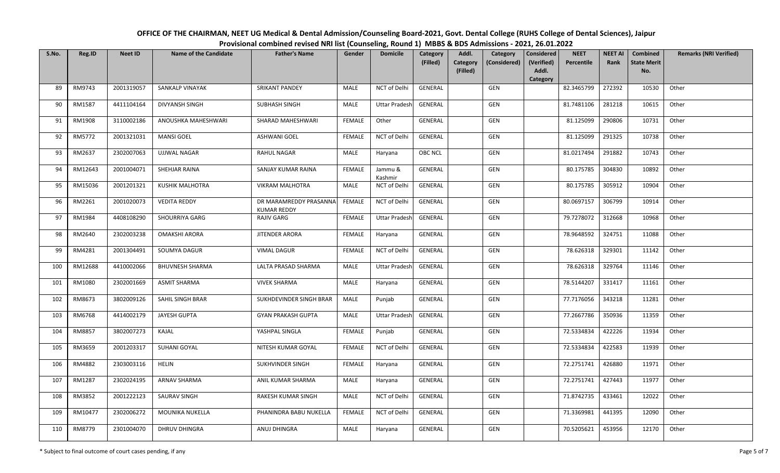| OFFICE OF THE CHAIRMAN, NEET UG Medical & Dental Admission/Counseling Board-2021, Govt. Dental College (RUHS College of Dental Sciences), Jaipur |  |
|--------------------------------------------------------------------------------------------------------------------------------------------------|--|
| Provisional combined revised NRI list (Counseling, Round 1) MBBS & BDS Admissions - 2021, 26.01.2022                                             |  |

| S.No. | Reg.ID  | <b>Neet ID</b> | <b>Name of the Candidate</b> | <b>Father's Name</b>                         | Gender        | <b>Domicile</b>      | Category       | Addl.                | Category     | <b>Considered</b>   | <b>NEET</b> | <b>NEET AI</b> | Combined                  | <b>Remarks (NRI Verified)</b> |
|-------|---------|----------------|------------------------------|----------------------------------------------|---------------|----------------------|----------------|----------------------|--------------|---------------------|-------------|----------------|---------------------------|-------------------------------|
|       |         |                |                              |                                              |               |                      | (Filled)       | Category<br>(Filled) | (Considered) | (Verified)<br>Addl. | Percentile  | <b>Rank</b>    | <b>State Merit</b><br>No. |                               |
|       |         |                |                              |                                              |               |                      |                |                      |              | Category            |             |                |                           |                               |
| 89    | RM9743  | 2001319057     | <b>SANKALP VINAYAK</b>       | <b>SRIKANT PANDEY</b>                        | MALE          | NCT of Delhi         | <b>GENERAL</b> |                      | GEN          |                     | 82.3465799  | 272392         | 10530                     | Other                         |
| 90    | RM1587  | 4411104164     | <b>DIVYANSH SINGH</b>        | <b>SUBHASH SINGH</b>                         | MALE          | <b>Uttar Pradesh</b> | <b>GENERAL</b> |                      | GEN          |                     | 81.7481106  | 281218         | 10615                     | Other                         |
| 91    | RM1908  | 3110002186     | ANOUSHKA MAHESHWARI          | SHARAD MAHESHWARI                            | <b>FEMALE</b> | Other                | <b>GENERAL</b> |                      | GEN          |                     | 81.125099   | 290806         | 10731                     | Other                         |
| 92    | RM5772  | 2001321031     | <b>MANSI GOEL</b>            | <b>ASHWANI GOEL</b>                          | <b>FEMALE</b> | NCT of Delhi         | <b>GENERAL</b> |                      | <b>GEN</b>   |                     | 81.125099   | 291325         | 10738                     | Other                         |
| 93    | RM2637  | 2302007063     | <b>UJJWAL NAGAR</b>          | <b>RAHUL NAGAR</b>                           | MALE          | Haryana              | OBC NCL        |                      | GEN          |                     | 81.0217494  | 291882         | 10743                     | Other                         |
| 94    | RM12643 | 2001004071     | SHEHJAR RAINA                | SANJAY KUMAR RAINA                           | <b>FEMALE</b> | Jammu &<br>Kashmir   | GENERAL        |                      | GEN          |                     | 80.175785   | 304830         | 10892                     | Other                         |
| 95    | RM15036 | 2001201321     | <b>KUSHIK MALHOTRA</b>       | <b>VIKRAM MALHOTRA</b>                       | MALE          | NCT of Delhi         | GENERAL        |                      | GEN          |                     | 80.175785   | 305912         | 10904                     | Other                         |
| 96    | RM2261  | 2001020073     | <b>VEDITA REDDY</b>          | DR MARAMREDDY PRASANNA<br><b>KUMAR REDDY</b> | <b>FEMALE</b> | NCT of Delhi         | <b>GENERAL</b> |                      | GEN          |                     | 80.0697157  | 306799         | 10914                     | Other                         |
| 97    | RM1984  | 4408108290     | SHOURRIYA GARG               | <b>RAJIV GARG</b>                            | <b>FEMALE</b> | <b>Uttar Pradesh</b> | GENERAL        |                      | <b>GEN</b>   |                     | 79.7278072  | 312668         | 10968                     | Other                         |
| 98    | RM2640  | 2302003238     | <b>OMAKSHI ARORA</b>         | <b>JITENDER ARORA</b>                        | <b>FEMALE</b> | Haryana              | GENERAL        |                      | GEN          |                     | 78.9648592  | 324751         | 11088                     | Other                         |
| 99    | RM4281  | 2001304491     | SOUMYA DAGUR                 | <b>VIMAL DAGUR</b>                           | <b>FEMALE</b> | NCT of Delhi         | <b>GENERAL</b> |                      | GEN          |                     | 78.626318   | 329301         | 11142                     | Other                         |
| 100   | RM12688 | 4410002066     | <b>BHUVNESH SHARMA</b>       | LALTA PRASAD SHARMA                          | MALE          | <b>Uttar Pradesh</b> | GENERAL        |                      | GEN          |                     | 78.626318   | 329764         | 11146                     | Other                         |
| 101   | RM1080  | 2302001669     | <b>ASMIT SHARMA</b>          | <b>VIVEK SHARMA</b>                          | MALE          | Haryana              | <b>GENERAL</b> |                      | GEN          |                     | 78.5144207  | 331417         | 11161                     | Other                         |
| 102   | RM8673  | 3802009126     | SAHIL SINGH BRAR             | SUKHDEVINDER SINGH BRAR                      | MALE          | Punjab               | <b>GENERAL</b> |                      | <b>GEN</b>   |                     | 77.7176056  | 343218         | 11281                     | Other                         |
| 103   | RM6768  | 4414002179     | JAYESH GUPTA                 | <b>GYAN PRAKASH GUPTA</b>                    | MALE          | <b>Uttar Pradesh</b> | <b>GENERAL</b> |                      | GEN          |                     | 77.2667786  | 350936         | 11359                     | Other                         |
| 104   | RM8857  | 3802007273     | KAJAL                        | YASHPAL SINGLA                               | <b>FEMALE</b> | Punjab               | GENERAL        |                      | GEN          |                     | 72.5334834  | 422226         | 11934                     | Other                         |
| 105   | RM3659  | 2001203317     | SUHANI GOYAL                 | NITESH KUMAR GOYAL                           | <b>FEMALE</b> | NCT of Delhi         | <b>GENERAL</b> |                      | GEN          |                     | 72.5334834  | 422583         | 11939                     | Other                         |
| 106   | RM4882  | 2303003116     | <b>HELIN</b>                 | SUKHVINDER SINGH                             | <b>FEMALE</b> | Haryana              | <b>GENERAL</b> |                      | GEN          |                     | 72.2751741  | 426880         | 11971                     | Other                         |
| 107   | RM1287  | 2302024195     | <b>ARNAV SHARMA</b>          | ANIL KUMAR SHARMA                            | <b>MALE</b>   | Haryana              | <b>GENERAL</b> |                      | GEN          |                     | 72.2751741  | 427443         | 11977                     | Other                         |
| 108   | RM3852  | 2001222123     | SAURAV SINGH                 | RAKESH KUMAR SINGH                           | MALE          | NCT of Delhi         | GENERAL        |                      | GEN          |                     | 71.8742735  | 433461         | 12022                     | Other                         |
| 109   | RM10477 | 2302006272     | MOUNIKA NUKELLA              | PHANINDRA BABU NUKELLA                       | <b>FEMALE</b> | NCT of Delhi         | <b>GENERAL</b> |                      | <b>GEN</b>   |                     | 71.3369981  | 441395         | 12090                     | Other                         |
| 110   | RM8779  | 2301004070     | <b>DHRUV DHINGRA</b>         | ANUJ DHINGRA                                 | MALE          | Haryana              | <b>GENERAL</b> |                      | <b>GEN</b>   |                     | 70.5205621  | 453956         | 12170                     | Other                         |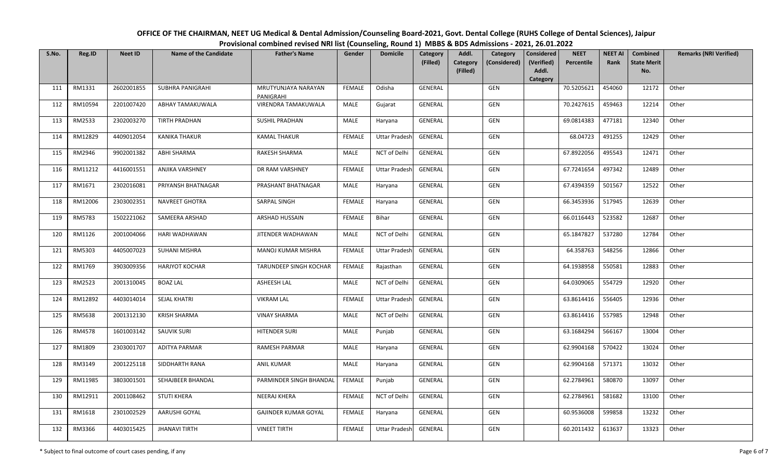| OFFICE OF THE CHAIRMAN, NEET UG Medical & Dental Admission/Counseling Board-2021, Govt. Dental College (RUHS College of Dental Sciences), Jaipur |
|--------------------------------------------------------------------------------------------------------------------------------------------------|
| Provisional combined revised NRI list (Counseling, Round 1) MBBS & BDS Admissions - 2021, 26.01.2022                                             |

| S.No. | Reg.ID  | <b>Neet ID</b> | <b>Name of the Candidate</b> | <b>Father's Name</b>             | Gender        | <b>Domicile</b>      | Category       | Addl.                | Category     | <b>Considered</b>   | <b>NEET</b> | <b>NEET AI</b> | Combined                  | <b>Remarks (NRI Verified)</b> |
|-------|---------|----------------|------------------------------|----------------------------------|---------------|----------------------|----------------|----------------------|--------------|---------------------|-------------|----------------|---------------------------|-------------------------------|
|       |         |                |                              |                                  |               |                      | (Filled)       | Category<br>(Filled) | (Considered) | (Verified)<br>Addl. | Percentile  | <b>Rank</b>    | <b>State Merit</b><br>No. |                               |
|       |         |                |                              |                                  |               |                      |                |                      |              | Category            |             |                |                           |                               |
| 111   | RM1331  | 2602001855     | <b>SUBHRA PANIGRAHI</b>      | MRUTYUNJAYA NARAYAN<br>PANIGRAHI | <b>FEMALE</b> | Odisha               | <b>GENERAL</b> |                      | <b>GEN</b>   |                     | 70.5205621  | 454060         | 12172                     | Other                         |
| 112   | RM10594 | 2201007420     | ABHAY TAMAKUWALA             | VIRENDRA TAMAKUWALA              | MALE          | Gujarat              | GENERAL        |                      | <b>GEN</b>   |                     | 70.2427615  | 459463         | 12214                     | Other                         |
| 113   | RM2533  | 2302003270     | <b>TIRTH PRADHAN</b>         | <b>SUSHIL PRADHAN</b>            | MALE          | Haryana              | GENERAL        |                      | GEN          |                     | 69.0814383  | 477181         | 12340                     | Other                         |
| 114   | RM12829 | 4409012054     | <b>KANIKA THAKUR</b>         | <b>KAMAL THAKUR</b>              | <b>FEMALE</b> | <b>Uttar Pradesh</b> | <b>GENERAL</b> |                      | <b>GEN</b>   |                     | 68.04723    | 491255         | 12429                     | Other                         |
| 115   | RM2946  | 9902001382     | ABHI SHARMA                  | <b>RAKESH SHARMA</b>             | MALE          | NCT of Delhi         | GENERAL        |                      | GEN          |                     | 67.8922056  | 495543         | 12471                     | Other                         |
| 116   | RM11212 | 4416001551     | ANJIKA VARSHNEY              | DR RAM VARSHNEY                  | <b>FEMALE</b> | <b>Uttar Pradesh</b> | GENERAL        |                      | GEN          |                     | 67.7241654  | 497342         | 12489                     | Other                         |
| 117   | RM1671  | 2302016081     | PRIYANSH BHATNAGAR           | PRASHANT BHATNAGAR               | MALE          | Haryana              | GENERAL        |                      | GEN          |                     | 67.4394359  | 501567         | 12522                     | Other                         |
| 118   | RM12006 | 2303002351     | NAVREET GHOTRA               | SARPAL SINGH                     | <b>FEMALE</b> | Haryana              | GENERAL        |                      | GEN          |                     | 66.3453936  | 517945         | 12639                     | Other                         |
| 119   | RM5783  | 1502221062     | SAMEERA ARSHAD               | ARSHAD HUSSAIN                   | <b>FEMALE</b> | Bihar                | GENERAL        |                      | GEN          |                     | 66.0116443  | 523582         | 12687                     | Other                         |
| 120   | RM1126  | 2001004066     | HARI WADHAWAN                | JITENDER WADHAWAN                | MALE          | NCT of Delhi         | <b>GENERAL</b> |                      | GEN          |                     | 65.1847827  | 537280         | 12784                     | Other                         |
| 121   | RM5303  | 4405007023     | <b>SUHANI MISHRA</b>         | MANOJ KUMAR MISHRA               | <b>FEMALE</b> | <b>Uttar Pradesh</b> | GENERAL        |                      | <b>GEN</b>   |                     | 64.358763   | 548256         | 12866                     | Other                         |
| 122   | RM1769  | 3903009356     | <b>HARJYOT KOCHAR</b>        | TARUNDEEP SINGH KOCHAR           | <b>FEMALE</b> | Rajasthan            | GENERAL        |                      | GEN          |                     | 64.1938958  | 550581         | 12883                     | Other                         |
| 123   | RM2523  | 2001310045     | <b>BOAZ LAL</b>              | <b>ASHEESH LAL</b>               | <b>MALE</b>   | NCT of Delhi         | <b>GENERAL</b> |                      | GEN          |                     | 64.0309065  | 554729         | 12920                     | Other                         |
| 124   | RM12892 | 4403014014     | SEJAL KHATRI                 | <b>VIKRAM LAL</b>                | <b>FEMALE</b> | <b>Uttar Pradesh</b> | GENERAL        |                      | GEN          |                     | 63.8614416  | 556405         | 12936                     | Other                         |
| 125   | RM5638  | 2001312130     | <b>KRISH SHARMA</b>          | <b>VINAY SHARMA</b>              | MALE          | NCT of Delhi         | <b>GENERAL</b> |                      | GEN          |                     | 63.8614416  | 557985         | 12948                     | Other                         |
| 126   | RM4578  | 1601003142     | SAUVIK SURI                  | <b>HITENDER SURI</b>             | MALE          | Punjab               | GENERAL        |                      | GEN          |                     | 63.1684294  | 566167         | 13004                     | Other                         |
| 127   | RM1809  | 2303001707     | <b>ADITYA PARMAR</b>         | <b>RAMESH PARMAR</b>             | MALE          | Haryana              | <b>GENERAL</b> |                      | GEN          |                     | 62.9904168  | 570422         | 13024                     | Other                         |
| 128   | RM3149  | 2001225118     | SIDDHARTH RANA               | <b>ANIL KUMAR</b>                | MALE          | Haryana              | <b>GENERAL</b> |                      | GEN          |                     | 62.9904168  | 571371         | 13032                     | Other                         |
| 129   | RM11985 | 3803001501     | SEHAJBEER BHANDAL            | PARMINDER SINGH BHANDAL          | <b>FEMALE</b> | Punjab               | <b>GENERAL</b> |                      | GEN          |                     | 62.2784961  | 580870         | 13097                     | Other                         |
| 130   | RM12911 | 2001108462     | <b>STUTI KHERA</b>           | <b>NEERAJ KHERA</b>              | <b>FEMALE</b> | NCT of Delhi         | <b>GENERAL</b> |                      | GEN          |                     | 62.2784961  | 581682         | 13100                     | Other                         |
| 131   | RM1618  | 2301002529     | AARUSHI GOYAL                | <b>GAJINDER KUMAR GOYAL</b>      | <b>FEMALE</b> | Haryana              | <b>GENERAL</b> |                      | GEN          |                     | 60.9536008  | 599858         | 13232                     | Other                         |
| 132   | RM3366  | 4403015425     | <b>JHANAVI TIRTH</b>         | <b>VINEET TIRTH</b>              | <b>FEMALE</b> | <b>Uttar Pradesh</b> | <b>GENERAL</b> |                      | GEN          |                     | 60.2011432  | 613637         | 13323                     | Other                         |